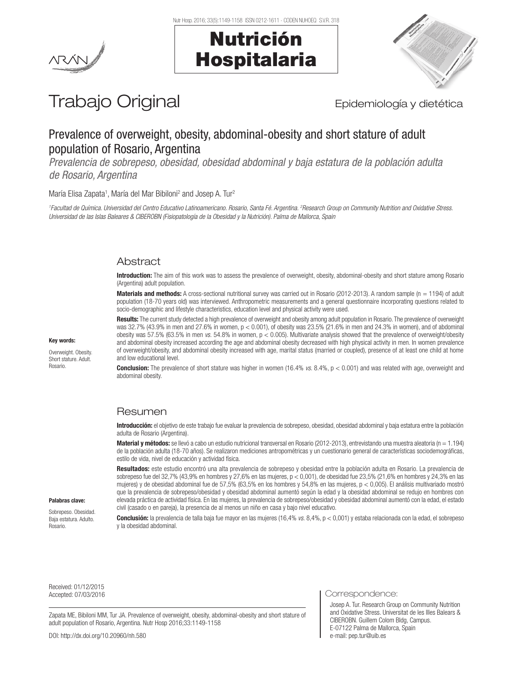





# Trabajo Original **Epidemiología y dietética**

# Prevalence of overweight, obesity, abdominal-obesity and short stature of adult population of Rosario, Argentina

*Prevalencia de sobrepeso, obesidad, obesidad abdominal y baja estatura de la población adulta de Rosario, Argentina*

María Elisa Zapata<sup>1</sup>, María del Mar Bibiloni<sup>2</sup> and Josep A. Tur<sup>2</sup>

*1 Facultad de Química. Universidad del Centro Educativo Latinoamericano. Rosario, Santa Fé. Argentina. 2 Research Group on Community Nutrition and Oxidative Stress. Universidad de las Islas Baleares & CIBEROBN (Fisiopatología de la Obesidad y la Nutrición). Palma de Mallorca, Spain*

## **Abstract**

Introduction: The aim of this work was to assess the prevalence of overweight, obesity, abdominal-obesity and short stature among Rosario (Argentina) adult population.

Materials and methods: A cross-sectional nutritional survey was carried out in Rosario (2012-2013). A random sample (n = 1194) of adult population (18-70 years old) was interviewed. Anthropometric measurements and a general questionnaire incorporating questions related to socio-demographic and lifestyle characteristics, education level and physical activity were used.

Results: The current study detected a high prevalence of overweight and obesity among adult population in Rosario. The prevalence of overweight was 32.7% (43.9% in men and 27.6% in women, p < 0.001), of obesity was 23.5% (21.6% in men and 24.3% in women), and of abdominal obesity was 57.5% (63.5% in men *vs.* 54.8% in women, p < 0.005). Multivariate analysis showed that the prevalence of overweight/obesity and abdominal obesity increased according the age and abdominal obesity decreased with high physical activity in men. In women prevalence of overweight/obesity, and abdominal obesity increased with age, marital status (married or coupled), presence of at least one child at home and low educational level.

Conclusion: The prevalence of short stature was higher in women (16.4% *vs*. 8.4%, p < 0.001) and was related with age, overweight and abdominal obesity.

## Resumen

Introducción: el objetivo de este trabajo fue evaluar la prevalencia de sobrepeso, obesidad, obesidad abdominal y baja estatura entre la población adulta de Rosario (Argentina).

**Material y métodos:** se llevó a cabo un estudio nutricional transversal en Rosario (2012-2013), entrevistando una muestra aleatoria (n = 1.194) de la población adulta (18-70 años). Se realizaron mediciones antropométricas y un cuestionario general de características sociodemográficas, estilo de vida, nivel de educación y actividad física.

Resultados: este estudio encontró una alta prevalencia de sobrepeso y obesidad entre la población adulta en Rosario. La prevalencia de sobrepeso fue del 32,7% (43,9% en hombres y 27,6% en las mujeres, p < 0,001), de obesidad fue 23,5% (21,6% en hombres y 24,3% en las mujeres) y de obesidad abdominal fue de 57,5% (63,5% en los hombres y 54,8% en las mujeres, p < 0,005). El análisis multivariado mostró que la prevalencia de sobrepeso/obesidad y obesidad abdominal aumentó según la edad y la obesidad abdominal se redujo en hombres con elevada práctica de actividad física. En las mujeres, la prevalencia de sobrepeso/obesidad y obesidad abdominal aumentó con la edad, el estado civil (casado o en pareja), la presencia de al menos un niño en casa y bajo nivel educativo.

Conclusión: la prevalencia de talla baja fue mayor en las mujeres (16,4% *vs.* 8,4%, p < 0,001) y estaba relacionada con la edad, el sobrepeso y la obesidad abdominal.

Received: 01/12/2015

Palabras clave: Sobrepeso. Obesidad. Baja estatura. Adulto. Rosario.

Zapata ME, Bibiloni MM, Tur JA. Prevalence of overweight, obesity, abdominal-obesity and short stature of adult population of Rosario, Argentina. Nutr Hosp 2016;33:1149-1158

DOI: http://dx.doi.org/10.20960/nh.580

Accepted: 07/03/2016 **Correspondence:** 07/03/2016

Josep A. Tur. Research Group on Community Nutrition and Oxidative Stress. Universitat de les Illes Balears & CIBEROBN. Guillem Colom Bldg, Campus. E-07122 Palma de Mallorca, Spain e-mail: pep.tur@uib.es

# Key words:

Overweight. Obesity. Short stature. Adult. Rosario.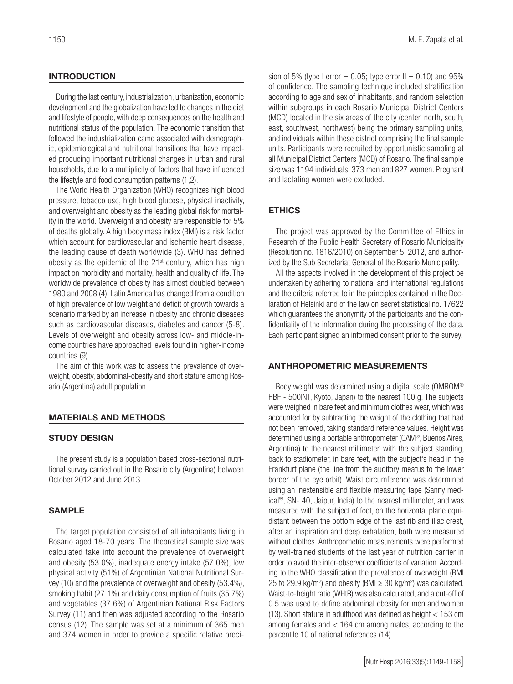#### **INTRODUCTION**

During the last century, industrialization, urbanization, economic development and the globalization have led to changes in the diet and lifestyle of people, with deep consequences on the health and nutritional status of the population. The economic transition that followed the industrialization came associated with demographic, epidemiological and nutritional transitions that have impacted producing important nutritional changes in urban and rural households, due to a multiplicity of factors that have influenced the lifestyle and food consumption patterns (1,2).

The World Health Organization (WHO) recognizes high blood pressure, tobacco use, high blood glucose, physical inactivity, and overweight and obesity as the leading global risk for mortality in the world. Overweight and obesity are responsible for 5% of deaths globally. A high body mass index (BMI) is a risk factor which account for cardiovascular and ischemic heart disease, the leading cause of death worldwide (3). WHO has defined obesity as the epidemic of the 21<sup>st</sup> century, which has high impact on morbidity and mortality, health and quality of life. The worldwide prevalence of obesity has almost doubled between 1980 and 2008 (4). Latin America has changed from a condition of high prevalence of low weight and deficit of growth towards a scenario marked by an increase in obesity and chronic diseases such as cardiovascular diseases, diabetes and cancer (5-8). Levels of overweight and obesity across low- and middle-income countries have approached levels found in higher-income countries (9).

The aim of this work was to assess the prevalence of overweight, obesity, abdominal-obesity and short stature among Rosario (Argentina) adult population.

#### MATERIALS AND METHODS

#### STUDY DESIGN

The present study is a population based cross-sectional nutritional survey carried out in the Rosario city (Argentina) between October 2012 and June 2013.

#### SAMPLE

The target population consisted of all inhabitants living in Rosario aged 18-70 years. The theoretical sample size was calculated take into account the prevalence of overweight and obesity (53.0%), inadequate energy intake (57.0%), low physical activity (51%) of Argentinian National Nutritional Survey (10) and the prevalence of overweight and obesity (53.4%), smoking habit (27.1%) and daily consumption of fruits (35.7%) and vegetables (37.6%) of Argentinian National Risk Factors Survey (11) and then was adjusted according to the Rosario census (12). The sample was set at a minimum of 365 men and 374 women in order to provide a specific relative precision of 5% (type I error =  $0.05$ ; type error II =  $0.10$ ) and 95% of confidence. The sampling technique included stratification according to age and sex of inhabitants, and random selection within subgroups in each Rosario Municipal District Centers (MCD) located in the six areas of the city (center, north, south, east, southwest, northwest) being the primary sampling units, and individuals within these district comprising the final sample units. Participants were recruited by opportunistic sampling at all Municipal District Centers (MCD) of Rosario. The final sample size was 1194 individuals, 373 men and 827 women. Pregnant and lactating women were excluded.

#### **ETHICS**

The project was approved by the Committee of Ethics in Research of the Public Health Secretary of Rosario Municipality (Resolution no. 1816/2010) on September 5, 2012, and authorized by the Sub Secretariat General of the Rosario Municipality.

All the aspects involved in the development of this project be undertaken by adhering to national and international regulations and the criteria referred to in the principles contained in the Declaration of Helsinki and of the law on secret statistical no. 17622 which guarantees the anonymity of the participants and the confidentiality of the information during the processing of the data. Each participant signed an informed consent prior to the survey.

#### ANTHROPOMETRIC MEASUREMENTS

Body weight was determined using a digital scale (OMROM® HBF - 500INT, Kyoto, Japan) to the nearest 100 g. The subjects were weighed in bare feet and minimum clothes wear, which was accounted for by subtracting the weight of the clothing that had not been removed, taking standard reference values. Height was determined using a portable anthropometer (CAM®, Buenos Aires, Argentina) to the nearest millimeter, with the subject standing, back to stadiometer, in bare feet, with the subject's head in the Frankfurt plane (the line from the auditory meatus to the lower border of the eye orbit). Waist circumference was determined using an inextensible and flexible measuring tape (Sanny medical®, SN- 40, Jaipur, India) to the nearest millimeter, and was measured with the subject of foot, on the horizontal plane equidistant between the bottom edge of the last rib and iliac crest, after an inspiration and deep exhalation, both were measured without clothes. Anthropometric measurements were performed by well-trained students of the last year of nutrition carrier in order to avoid the inter-observer coefficients of variation. According to the WHO classification the prevalence of overweight (BMI 25 to 29.9 kg/m<sup>2</sup>) and obesity (BMI  $\geq$  30 kg/m<sup>2</sup>) was calculated. Waist-to-height ratio (WHtR) was also calculated, and a cut-off of 0.5 was used to define abdominal obesity for men and women (13). Short stature in adulthood was defined as height < 153 cm among females and < 164 cm among males, according to the percentile 10 of national references (14).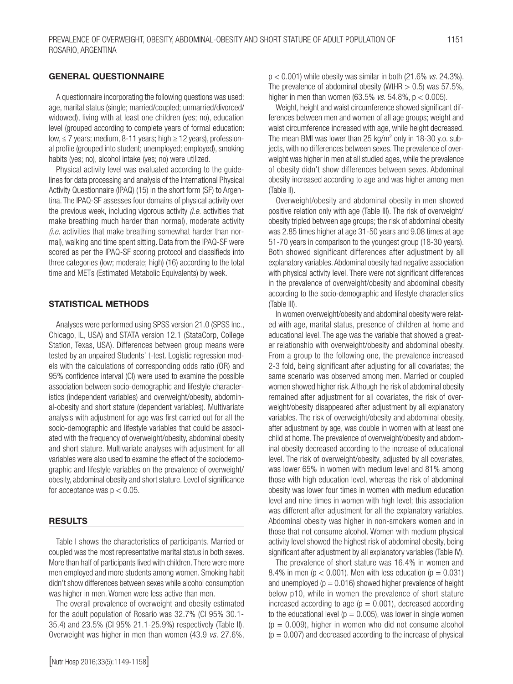#### GENERAL QUESTIONNAIRE

A questionnaire incorporating the following questions was used: age, marital status (single; married/coupled; unmarried/divorced/ widowed), living with at least one children (yes; no), education level (grouped according to complete years of formal education: low, ≤ 7 years; medium, 8-11 years; high ≥ 12 years), professional profile (grouped into student; unemployed; employed), smoking habits (yes; no), alcohol intake (yes; no) were utilized.

Physical activity level was evaluated according to the guidelines for data processing and analysis of the International Physical Activity Questionnaire (IPAQ) (15) in the short form (SF) to Argentina. The IPAQ-SF assesses four domains of physical activity over the previous week, including vigorous activity *(i.e.* activities that make breathing much harder than normal), moderate activity *(i.e.* activities that make breathing somewhat harder than normal), walking and time spent sitting. Data from the IPAQ-SF were scored as per the IPAQ-SF scoring protocol and classifieds into three categories (low; moderate; high) (16) according to the total time and METs (Estimated Metabolic Equivalents) by week.

#### STATISTICAL METHODS

Analyses were performed using SPSS version 21.0 (SPSS Inc., Chicago, IL, USA) and STATA version 12.1 (StataCorp, College Station, Texas, USA). Differences between group means were tested by an unpaired Students' t*-*test. Logistic regression models with the calculations of corresponding odds ratio (OR) and 95% confidence interval (CI) were used to examine the possible association between socio-demographic and lifestyle characteristics (independent variables) and overweight/obesity, abdominal-obesity and short stature (dependent variables). Multivariate analysis with adjustment for age was first carried out for all the socio-demographic and lifestyle variables that could be associated with the frequency of overweight/obesity, abdominal obesity and short stature. Multivariate analyses with adjustment for all variables were also used to examine the effect of the sociodemographic and lifestyle variables on the prevalence of overweight/ obesity, abdominal obesity and short stature. Level of significance for acceptance was  $p < 0.05$ .

#### **RESULTS**

Table I shows the characteristics of participants. Married or coupled was the most representative marital status in both sexes. More than half of participants lived with children. There were more men employed and more students among women. Smoking habit didn't show differences between sexes while alcohol consumption was higher in men. Women were less active than men.

The overall prevalence of overweight and obesity estimated for the adult population of Rosario was 32.7% (CI 95% 30.1- 35.4) and 23.5% (CI 95% 21.1-25.9%) respectively (Table II). Overweight was higher in men than women (43.9 *vs.* 27.6%, p < 0.001) while obesity was similar in both (21.6% *vs.* 24.3%). The prevalence of abdominal obesity (WtHR  $> 0.5$ ) was 57.5%, higher in men than women (63.5% *vs.* 54.8%, p < 0.005).

Weight, height and waist circumference showed significant differences between men and women of all age groups; weight and waist circumference increased with age, while height decreased. The mean BMI was lower than 25 kg/m<sup>2</sup> only in 18-30 y.o. subjects, with no differences between sexes. The prevalence of overweight was higher in men at all studied ages, while the prevalence of obesity didn't show differences between sexes. Abdominal obesity increased according to age and was higher among men (Table II).

Overweight/obesity and abdominal obesity in men showed positive relation only with age (Table III). The risk of overweight/ obesity tripled between age groups; the risk of abdominal obesity was 2.85 times higher at age 31-50 years and 9.08 times at age 51-70 years in comparison to the youngest group (18-30 years). Both showed significant differences after adjustment by all explanatory variables. Abdominal obesity had negative association with physical activity level. There were not significant differences in the prevalence of overweight/obesity and abdominal obesity according to the socio-demographic and lifestyle characteristics (Table III).

In women overweight/obesity and abdominal obesity were related with age, marital status, presence of children at home and educational level. The age was the variable that showed a greater relationship with overweight/obesity and abdominal obesity. From a group to the following one, the prevalence increased 2-3 fold, being significant after adjusting for all covariates; the same scenario was observed among men. Married or coupled women showed higher risk. Although the risk of abdominal obesity remained after adjustment for all covariates, the risk of overweight/obesity disappeared after adjustment by all explanatory variables. The risk of overweight/obesity and abdominal obesity, after adjustment by age, was double in women with at least one child at home. The prevalence of overweight/obesity and abdominal obesity decreased according to the increase of educational level. The risk of overweight/obesity, adjusted by all covariates, was lower 65% in women with medium level and 81% among those with high education level, whereas the risk of abdominal obesity was lower four times in women with medium education level and nine times in women with high level; this association was different after adjustment for all the explanatory variables. Abdominal obesity was higher in non-smokers women and in those that not consume alcohol. Women with medium physical activity level showed the highest risk of abdominal obesity, being significant after adjustment by all explanatory variables (Table IV).

The prevalence of short stature was 16.4% in women and 8.4% in men ( $p < 0.001$ ). Men with less education ( $p = 0.031$ ) and unemployed ( $p = 0.016$ ) showed higher prevalence of height below p10, while in women the prevalence of short stature increased according to age ( $p = 0.001$ ), decreased according to the educational level ( $p = 0.005$ ), was lower in single women  $(p = 0.009)$ , higher in women who did not consume alcohol  $(p = 0.007)$  and decreased according to the increase of physical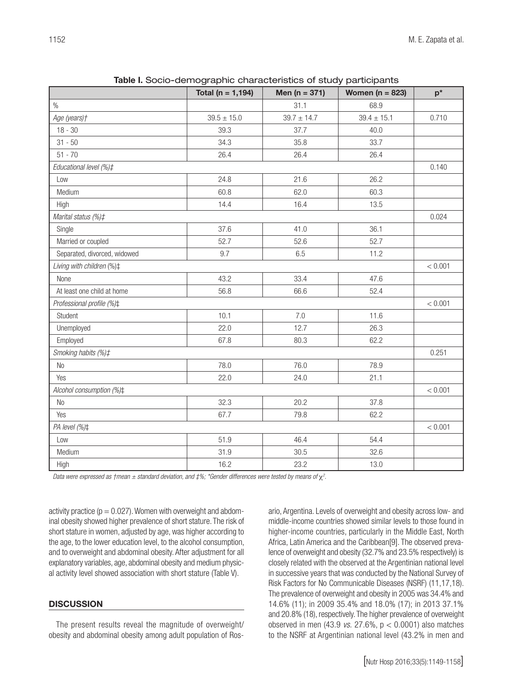| 31.1<br>68.9<br>$39.7 \pm 14.7$<br>$39.5 \pm 15.0$<br>$39.4 \pm 15.1$<br>0.710<br>$18 - 30$<br>39.3<br>37.7<br>40.0<br>$31 - 50$<br>34.3<br>35.8<br>33.7<br>$51 - 70$<br>26.4<br>26.4<br>26.4<br>Educational level (%)#<br>0.140<br>24.8<br>21.6<br>26.2<br>Low<br>60.8<br>Medium<br>62.0<br>60.3<br>14.4<br>16.4<br>13.5<br>High<br>Marital status (%)#<br>0.024<br>Single<br>37.6<br>41.0<br>36.1<br>Married or coupled<br>52.7<br>52.6<br>52.7<br>Separated, divorced, widowed<br>9.7<br>6.5<br>11.2<br>Living with children (%)‡<br>< 0.001<br>43.2<br>33.4<br>47.6<br>None<br>56.8<br>At least one child at home<br>66.6<br>52.4<br>Professional profile (%)#<br>< 0.001<br>Student<br>10.1<br>7.0<br>11.6<br>22.0<br>12.7<br>Unemployed<br>26.3<br>62.2<br>Employed<br>67.8<br>80.3<br>0.251<br>78.0<br>76.0<br>78.9<br>No<br>22.0<br>Yes<br>24.0<br>21.1<br>< 0.001 |                          |  |  |  |  |  |  |  |
|----------------------------------------------------------------------------------------------------------------------------------------------------------------------------------------------------------------------------------------------------------------------------------------------------------------------------------------------------------------------------------------------------------------------------------------------------------------------------------------------------------------------------------------------------------------------------------------------------------------------------------------------------------------------------------------------------------------------------------------------------------------------------------------------------------------------------------------------------------------------------|--------------------------|--|--|--|--|--|--|--|
|                                                                                                                                                                                                                                                                                                                                                                                                                                                                                                                                                                                                                                                                                                                                                                                                                                                                            | $\%$                     |  |  |  |  |  |  |  |
|                                                                                                                                                                                                                                                                                                                                                                                                                                                                                                                                                                                                                                                                                                                                                                                                                                                                            | Age (years)+             |  |  |  |  |  |  |  |
|                                                                                                                                                                                                                                                                                                                                                                                                                                                                                                                                                                                                                                                                                                                                                                                                                                                                            |                          |  |  |  |  |  |  |  |
|                                                                                                                                                                                                                                                                                                                                                                                                                                                                                                                                                                                                                                                                                                                                                                                                                                                                            |                          |  |  |  |  |  |  |  |
|                                                                                                                                                                                                                                                                                                                                                                                                                                                                                                                                                                                                                                                                                                                                                                                                                                                                            |                          |  |  |  |  |  |  |  |
|                                                                                                                                                                                                                                                                                                                                                                                                                                                                                                                                                                                                                                                                                                                                                                                                                                                                            |                          |  |  |  |  |  |  |  |
|                                                                                                                                                                                                                                                                                                                                                                                                                                                                                                                                                                                                                                                                                                                                                                                                                                                                            |                          |  |  |  |  |  |  |  |
|                                                                                                                                                                                                                                                                                                                                                                                                                                                                                                                                                                                                                                                                                                                                                                                                                                                                            |                          |  |  |  |  |  |  |  |
|                                                                                                                                                                                                                                                                                                                                                                                                                                                                                                                                                                                                                                                                                                                                                                                                                                                                            |                          |  |  |  |  |  |  |  |
|                                                                                                                                                                                                                                                                                                                                                                                                                                                                                                                                                                                                                                                                                                                                                                                                                                                                            |                          |  |  |  |  |  |  |  |
|                                                                                                                                                                                                                                                                                                                                                                                                                                                                                                                                                                                                                                                                                                                                                                                                                                                                            |                          |  |  |  |  |  |  |  |
|                                                                                                                                                                                                                                                                                                                                                                                                                                                                                                                                                                                                                                                                                                                                                                                                                                                                            |                          |  |  |  |  |  |  |  |
|                                                                                                                                                                                                                                                                                                                                                                                                                                                                                                                                                                                                                                                                                                                                                                                                                                                                            |                          |  |  |  |  |  |  |  |
|                                                                                                                                                                                                                                                                                                                                                                                                                                                                                                                                                                                                                                                                                                                                                                                                                                                                            |                          |  |  |  |  |  |  |  |
|                                                                                                                                                                                                                                                                                                                                                                                                                                                                                                                                                                                                                                                                                                                                                                                                                                                                            |                          |  |  |  |  |  |  |  |
|                                                                                                                                                                                                                                                                                                                                                                                                                                                                                                                                                                                                                                                                                                                                                                                                                                                                            |                          |  |  |  |  |  |  |  |
|                                                                                                                                                                                                                                                                                                                                                                                                                                                                                                                                                                                                                                                                                                                                                                                                                                                                            |                          |  |  |  |  |  |  |  |
|                                                                                                                                                                                                                                                                                                                                                                                                                                                                                                                                                                                                                                                                                                                                                                                                                                                                            |                          |  |  |  |  |  |  |  |
|                                                                                                                                                                                                                                                                                                                                                                                                                                                                                                                                                                                                                                                                                                                                                                                                                                                                            |                          |  |  |  |  |  |  |  |
|                                                                                                                                                                                                                                                                                                                                                                                                                                                                                                                                                                                                                                                                                                                                                                                                                                                                            |                          |  |  |  |  |  |  |  |
|                                                                                                                                                                                                                                                                                                                                                                                                                                                                                                                                                                                                                                                                                                                                                                                                                                                                            | Smoking habits (%)#      |  |  |  |  |  |  |  |
|                                                                                                                                                                                                                                                                                                                                                                                                                                                                                                                                                                                                                                                                                                                                                                                                                                                                            |                          |  |  |  |  |  |  |  |
|                                                                                                                                                                                                                                                                                                                                                                                                                                                                                                                                                                                                                                                                                                                                                                                                                                                                            |                          |  |  |  |  |  |  |  |
|                                                                                                                                                                                                                                                                                                                                                                                                                                                                                                                                                                                                                                                                                                                                                                                                                                                                            | Alcohol consumption (%)± |  |  |  |  |  |  |  |
| 32.3<br>20.2<br>37.8<br>No                                                                                                                                                                                                                                                                                                                                                                                                                                                                                                                                                                                                                                                                                                                                                                                                                                                 |                          |  |  |  |  |  |  |  |
| 67.7<br>79.8<br>62.2<br>Yes                                                                                                                                                                                                                                                                                                                                                                                                                                                                                                                                                                                                                                                                                                                                                                                                                                                |                          |  |  |  |  |  |  |  |
| < 0.001                                                                                                                                                                                                                                                                                                                                                                                                                                                                                                                                                                                                                                                                                                                                                                                                                                                                    | PA level (%)#            |  |  |  |  |  |  |  |
| 51.9<br>46.4<br>Low<br>54.4                                                                                                                                                                                                                                                                                                                                                                                                                                                                                                                                                                                                                                                                                                                                                                                                                                                |                          |  |  |  |  |  |  |  |
| 31.9<br>32.6<br>Medium<br>30.5                                                                                                                                                                                                                                                                                                                                                                                                                                                                                                                                                                                                                                                                                                                                                                                                                                             |                          |  |  |  |  |  |  |  |
| 16.2<br>23.2<br>13.0<br>High                                                                                                                                                                                                                                                                                                                                                                                                                                                                                                                                                                                                                                                                                                                                                                                                                                               |                          |  |  |  |  |  |  |  |

Table I. Socio-demographic characteristics of study participants

Data were expressed as †mean  $\pm$  standard deviation, and  $\sharp\%$ ; \*Gender differences were tested by means of  $\chi^2$ .

activity practice ( $p = 0.027$ ). Women with overweight and abdominal obesity showed higher prevalence of short stature. The risk of short stature in women, adjusted by age, was higher according to the age, to the lower education level, to the alcohol consumption, and to overweight and abdominal obesity. After adjustment for all explanatory variables, age, abdominal obesity and medium physical activity level showed association with short stature (Table V).

#### **DISCUSSION**

The present results reveal the magnitude of overweight/ obesity and abdominal obesity among adult population of Rosario, Argentina. Levels of overweight and obesity across low- and middle-income countries showed similar levels to those found in higher-income countries, particularly in the Middle East, North Africa, Latin America and the Caribbean[9]. The observed prevalence of overweight and obesity (32.7% and 23.5% respectively) is closely related with the observed at the Argentinian national level in successive years that was conducted by the National Survey of Risk Factors for No Communicable Diseases (NSRF) (11,17,18). The prevalence of overweight and obesity in 2005 was 34.4% and 14.6% (11); in 2009 35.4% and 18.0% (17); in 2013 37.1% and 20.8% (18), respectively. The higher prevalence of overweight observed in men (43.9 *vs.* 27.6%, p < 0.0001) also matches to the NSRF at Argentinian national level (43.2% in men and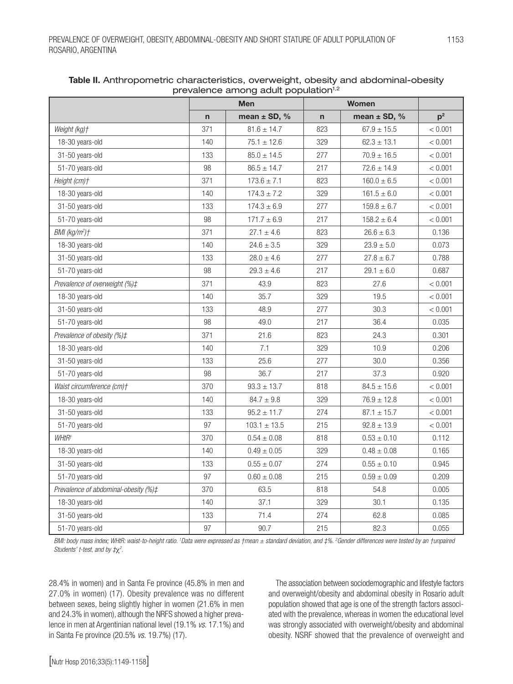|                                      |              | <b>Men</b><br><b>Women</b> |              |                  |                |
|--------------------------------------|--------------|----------------------------|--------------|------------------|----------------|
|                                      | $\mathsf{n}$ | mean $\pm$ SD, %           | $\mathsf{n}$ | mean $\pm$ SD, % | p <sup>2</sup> |
| Weight (kg)+                         | 371          | $81.6 \pm 14.7$            | 823          | $67.9 \pm 15.5$  | < 0.001        |
| 18-30 years-old                      | 140          | $75.1 \pm 12.6$            | 329          | $62.3 \pm 13.1$  | < 0.001        |
| 31-50 years-old                      | 133          | $85.0 \pm 14.5$            | 277          | $70.9 \pm 16.5$  | < 0.001        |
| 51-70 years-old                      | 98           | $86.5 \pm 14.7$            | 217          | $72.6 \pm 14.9$  | < 0.001        |
| Height (cm)+                         | 371          | $173.6 \pm 7.1$            | 823          | $160.0 \pm 6.5$  | < 0.001        |
| 18-30 years-old                      | 140          | $174.3 \pm 7.2$            | 329          | $161.5 \pm 6.0$  | < 0.001        |
| 31-50 years-old                      | 133          | $174.3 \pm 6.9$            | 277          | $159.8 \pm 6.7$  | < 0.001        |
| 51-70 years-old                      | 98           | $171.7 \pm 6.9$            | 217          | $158.2 \pm 6.4$  | < 0.001        |
| $BMI (kg/m2)$ †                      | 371          | $27.1 \pm 4.6$             | 823          | $26.6 \pm 6.3$   | 0.136          |
| 18-30 years-old                      | 140          | $24.6 \pm 3.5$             | 329          | $23.9\pm5.0$     | 0.073          |
| 31-50 years-old                      | 133          | $28.0 \pm 4.6$             | 277          | $27.8 \pm 6.7$   | 0.788          |
| 51-70 years-old                      | 98           | $29.3 \pm 4.6$             | 217          | $29.1 \pm 6.0$   | 0.687          |
| Prevalence of overweight (%)#        | 371          | 43.9                       | 823          | 27.6             | < 0.001        |
| 18-30 years-old                      | 140          | 35.7                       | 329          | 19.5             | < 0.001        |
| 31-50 years-old                      | 133          | 48.9                       | 277          | 30.3             | < 0.001        |
| 51-70 years-old                      | 98           | 49.0                       | 217          | 36.4             | 0.035          |
| Prevalence of obesity (%)#           | 371          | 21.6                       | 823          | 24.3             | 0.301          |
| 18-30 years-old                      | 140          | 7.1                        | 329          | 10.9             | 0.206          |
| 31-50 years-old                      | 133          | 25.6                       | 277          | 30.0             | 0.356          |
| 51-70 years-old                      | 98           | 36.7                       | 217          | 37.3             | 0.920          |
| Waist circumference (cm)+            | 370          | $93.3 \pm 13.7$            | 818          | $84.5 \pm 15.6$  | < 0.001        |
| 18-30 years-old                      | 140          | $84.7 \pm 9.8$             | 329          | $76.9 \pm 12.8$  | < 0.001        |
| 31-50 years-old                      | 133          | $95.2 \pm 11.7$            | 274          | $87.1 \pm 15.7$  | < 0.001        |
| 51-70 years-old                      | 97           | $103.1 \pm 13.5$           | 215          | $92.8 \pm 13.9$  | < 0.001        |
| WHtR <sup>+</sup>                    | 370          | $0.54 \pm 0.08$            | 818          | $0.53 \pm 0.10$  | 0.112          |
| 18-30 years-old                      | 140          | $0.49\pm0.05$              | 329          | $0.48\pm0.08$    | 0.165          |
| 31-50 years-old                      | 133          | $0.55 \pm 0.07$            | 274          | $0.55 \pm 0.10$  | 0.945          |
| 51-70 years-old                      | 97           | $0.60 \pm 0.08$            | 215          | $0.59 \pm 0.09$  | 0.209          |
| Prevalence of abdominal-obesity (%)# | 370          | 63.5                       | 818          | 54.8             | 0.005          |
| 18-30 years-old                      | 140          | 37.1                       | 329          | 30.1             | 0.135          |
| 31-50 years-old                      | 133          | 71.4                       | 274          | 62.8             | 0.085          |
| 51-70 years-old                      | 97           | 90.7                       | 215          | 82.3             | 0.055          |

Table II. Anthropometric characteristics, overweight, obesity and abdominal-obesity prevalence among adult population<sup>1,2</sup>

*BMI: body mass index; WHtR: waist-to-height ratio. 1 Data were expressed as †mean ± standard deviation, and ‡%. 2 Gender differences were tested by an †unpaired Students' t-test, and by ‡*χ*<sup>2</sup> .*

28.4% in women) and in Santa Fe province (45.8% in men and 27.0% in women) (17). Obesity prevalence was no different between sexes, being slightly higher in women (21.6% in men and 24.3% in women), although the NRFS showed a higher prevalence in men at Argentinian national level (19.1% *vs.* 17.1%) and in Santa Fe province (20.5% *vs.* 19.7%) (17).

The association between sociodemographic and lifestyle factors and overweight/obesity and abdominal obesity in Rosario adult population showed that age is one of the strength factors associated with the prevalence, whereas in women the educational level was strongly associated with overweight/obesity and abdominal obesity. NSRF showed that the prevalence of overweight and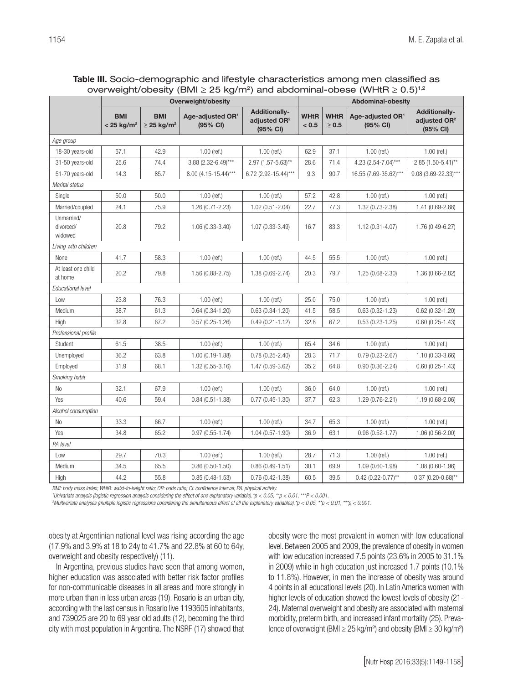| Table III. Socio-demographic and lifestyle characteristics among men classified as                         |  |  |
|------------------------------------------------------------------------------------------------------------|--|--|
| overweight/obesity (BMI $\geq$ 25 kg/m <sup>2</sup> ) and abdominal-obese (WHtR $\geq$ 0.5) <sup>1,2</sup> |  |  |

|                                    | …ע… – – – ישי<br>Overweight/obesity    |                                           |                                          |                                                              |                      | <b>Abdominal-obesity</b>  |                                          |                                                              |  |  |
|------------------------------------|----------------------------------------|-------------------------------------------|------------------------------------------|--------------------------------------------------------------|----------------------|---------------------------|------------------------------------------|--------------------------------------------------------------|--|--|
|                                    | <b>BMI</b><br>$< 25$ kg/m <sup>2</sup> | <b>BMI</b><br>$\geq$ 25 kg/m <sup>2</sup> | Age-adjusted OR <sup>1</sup><br>(95% CI) | <b>Additionally-</b><br>adjusted OR <sup>2</sup><br>(95% CI) | <b>WHtR</b><br>< 0.5 | <b>WHtR</b><br>$\geq 0.5$ | Age-adjusted OR <sup>1</sup><br>(95% CI) | <b>Additionally-</b><br>adjusted OR <sup>2</sup><br>(95% CI) |  |  |
| Age group                          |                                        |                                           |                                          |                                                              |                      |                           |                                          |                                                              |  |  |
| 18-30 years-old                    | 57.1                                   | 42.9                                      | $1.00$ (ref.)                            | $1.00$ (ref.)                                                | 62.9                 | 37.1                      | $1.00$ (ref.)                            | $1.00$ (ref.)                                                |  |  |
| 31-50 years-old                    | 25.6                                   | 74.4                                      | $3.88$ (2.32-6.49)***                    | 2.97 (1.57-5.63)**                                           | 28.6                 | 71.4                      | 4.23 (2.54-7.04)***                      | $2.85(1.50-5.41)$ **                                         |  |  |
| 51-70 years-old                    | 14.3                                   | 85.7                                      | 8.00 (4.15-15.44)***                     | 6.72 (2.92-15.44)***                                         | 9.3                  | 90.7                      | 16.55 (7.69-35.62)***                    | 9.08 (3.69-22.33)***                                         |  |  |
| Marital status                     |                                        |                                           |                                          |                                                              |                      |                           |                                          |                                                              |  |  |
| Single                             | 50.0                                   | 50.0                                      | $1.00$ (ref.)                            | $1.00$ (ref.)                                                | 57.2                 | 42.8                      | $1.00$ (ref.)                            | $1.00$ (ref.)                                                |  |  |
| Married/coupled                    | 24.1                                   | 75.9                                      | 1.26 (0.71-2.23)                         | 1.02 (0.51-2.04)                                             | 22.7                 | 77.3                      | 1.32 (0.73-2.38)                         | 1.41 (0.69-2.88)                                             |  |  |
| Unmarried/<br>divorced/<br>widowed | 20.8                                   | 79.2                                      | $1.06(0.33 - 3.40)$                      | 1.07 (0.33-3.49)                                             | 16.7                 | 83.3                      | $1.12(0.31 - 4.07)$                      | $1.76(0.49-6.27)$                                            |  |  |
| Living with children               |                                        |                                           |                                          |                                                              |                      |                           |                                          |                                                              |  |  |
| None                               | 41.7                                   | 58.3                                      | $1.00$ (ref.)                            | $1.00$ (ref.)                                                | 44.5                 | 55.5                      | $1.00$ (ref.)                            | $1.00$ (ref.)                                                |  |  |
| At least one child<br>at home      | 20.2                                   | 79.8                                      | $1.56(0.88 - 2.75)$                      | 1.38 (0.69-2.74)                                             | 20.3                 | 79.7                      | $1.25(0.68 - 2.30)$                      | $1.36(0.66 - 2.82)$                                          |  |  |
| Educational level                  |                                        |                                           |                                          |                                                              |                      |                           |                                          |                                                              |  |  |
| Low                                | 23.8                                   | 76.3                                      | 1.00 (ref.)                              | $1.00$ (ref.)                                                | 25.0                 | 75.0                      | $1.00$ (ref.)                            | $1.00$ (ref.)                                                |  |  |
| Medium                             | 38.7                                   | 61.3                                      | $0.64(0.34 - 1.20)$                      | $0.63(0.34-1.20)$                                            | 41.5                 | 58.5                      | $0.63(0.32 - 1.23)$                      | $0.62(0.32 - 1.20)$                                          |  |  |
| High                               | 32.8                                   | 67.2                                      | $0.57(0.25 - 1.26)$                      | $0.49(0.21 - 1.12)$                                          | 32.8                 | 67.2                      | $0.53(0.23 - 1.25)$                      | $0.60(0.25-1.43)$                                            |  |  |
| Professional profile               |                                        |                                           |                                          |                                                              |                      |                           |                                          |                                                              |  |  |
| Student                            | 61.5                                   | 38.5                                      | $1.00$ (ref.)                            | $1.00$ (ref.)                                                | 65.4                 | 34.6                      | $1.00$ (ref.)                            | $1.00$ (ref.)                                                |  |  |
| Unemployed                         | 36.2                                   | 63.8                                      | $1.00(0.19-1.88)$                        | $0.78(0.25-2.40)$                                            | 28.3                 | 71.7                      | $0.79(0.23 - 2.67)$                      | 1.10 (0.33-3.66)                                             |  |  |
| Employed                           | 31.9                                   | 68.1                                      | 1.32 (0.55-3.16)                         | 1.47 (0.59-3.62)                                             | 35.2                 | 64.8                      | $0.90(0.36 - 2.24)$                      | $0.60(0.25-1.43)$                                            |  |  |
| Smoking habit                      |                                        |                                           |                                          |                                                              |                      |                           |                                          |                                                              |  |  |
| No                                 | 32.1                                   | 67.9                                      | $1.00$ (ref.)                            | $1.00$ (ref.)                                                | 36.0                 | 64.0                      | $1.00$ (ref.)                            | $1.00$ (ref.)                                                |  |  |
| Yes                                | 40.6                                   | 59.4                                      | $0.84(0.51 - 1.38)$                      | $0.77(0.45-1.30)$                                            | 37.7                 | 62.3                      | 1.29 (0.76-2.21)                         | 1.19 (0.68-2.06)                                             |  |  |
| Alcohol consumption                |                                        |                                           |                                          |                                                              |                      |                           |                                          |                                                              |  |  |
| <b>No</b>                          | 33.3                                   | 66.7                                      | $1.00$ (ref.)                            | $1.00$ (ref.)                                                | 34.7                 | 65.3                      | $1.00$ (ref.)                            | $1.00$ (ref.)                                                |  |  |
| Yes                                | 34.8                                   | 65.2                                      | $0.97(0.55 - 1.74)$                      | $1.04(0.57 - 1.90)$                                          | 36.9                 | 63.1                      | $0.96(0.52 - 1.77)$                      | $1.06(0.56 - 2.00)$                                          |  |  |
| PA level                           |                                        |                                           |                                          |                                                              |                      |                           |                                          |                                                              |  |  |
| Low                                | 29.7                                   | 70.3                                      | $1.00$ (ref.)                            | $1.00$ (ref.)                                                | 28.7                 | 71.3                      | $1.00$ (ref.)                            | $1.00$ (ref.)                                                |  |  |
| Medium                             | 34.5                                   | 65.5                                      | $0.86(0.50-1.50)$                        | $0.86(0.49-1.51)$                                            | 30.1                 | 69.9                      | $1.09(0.60-1.98)$                        | 1.08 (0.60-1.96)                                             |  |  |
| High                               | 44.2                                   | 55.8                                      | $0.85(0.48-1.53)$                        | $0.76(0.42 - 1.38)$                                          | 60.5                 | 39.5                      | $0.42$ (0.22-0.77)**                     | $0.37(0.20-0.68)$ **                                         |  |  |

*BMI: body mass index; WHtR: waist-to-height ratio; OR: odds ratio; CI: confidence interval; PA: physical activity.*

*1 Univariate analysis (logistic regression analysis considering the effect of one explanatory variable).\*p < 0.05, \*\*p < 0.01, \*\*\*P < 0.001.*

*2 Multivariate analyses (multiple logistic regressions considering the simultaneous effect of all the explanatory variables).\*p < 0.05, \*\*p < 0.01, \*\*\*p < 0.001.*

obesity at Argentinian national level was rising according the age (17.9% and 3.9% at 18 to 24y to 41.7% and 22.8% at 60 to 64y, overweight and obesity respectively) (11).

In Argentina, previous studies have seen that among women, higher education was associated with better risk factor profiles for non-communicable diseases in all areas and more strongly in more urban than in less urban areas (19). Rosario is an urban city, according with the last census in Rosario live 1193605 inhabitants, and 739025 are 20 to 69 year old adults (12), becoming the third city with most population in Argentina. The NSRF (17) showed that obesity were the most prevalent in women with low educational level. Between 2005 and 2009, the prevalence of obesity in women with low education increased 7.5 points (23.6% in 2005 to 31.1% in 2009) while in high education just increased 1.7 points (10.1% to 11.8%). However, in men the increase of obesity was around 4 points in all educational levels (20). In Latin America women with higher levels of education showed the lowest levels of obesity (21- 24). Maternal overweight and obesity are associated with maternal morbidity, preterm birth, and increased infant mortality (25). Prevalence of overweight (BMI ≥ 25 kg/m²) and obesity (BMI ≥ 30 kg/m²)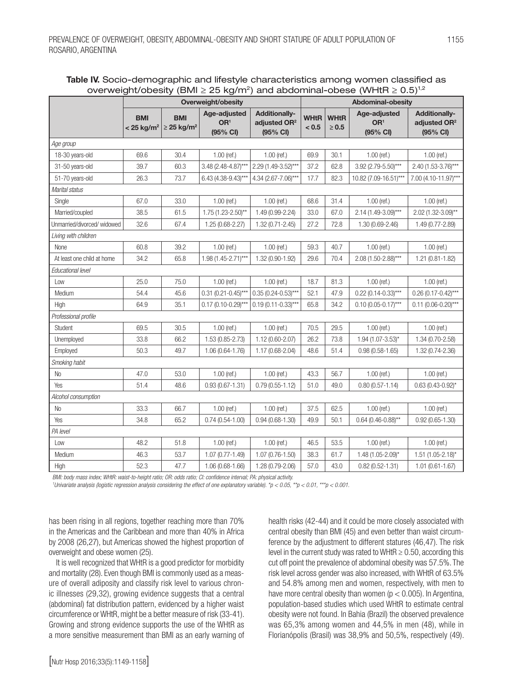| Table IV. Socio-demographic and lifestyle characteristics among women classified as                        |
|------------------------------------------------------------------------------------------------------------|
| overweight/obesity (BMI $\geq$ 25 kg/m <sup>2</sup> ) and abdominal-obese (WHtR $\geq$ 0.5) <sup>1,2</sup> |

|                             | <br>Overweight/obesity                 |                                           |                                             |                                                              | Abdominal-obesity    |                           |                                             |                                                              |  |
|-----------------------------|----------------------------------------|-------------------------------------------|---------------------------------------------|--------------------------------------------------------------|----------------------|---------------------------|---------------------------------------------|--------------------------------------------------------------|--|
|                             | <b>BMI</b><br>$< 25$ kg/m <sup>2</sup> | <b>BMI</b><br>$\geq$ 25 kg/m <sup>2</sup> | Age-adjusted<br>OR <sup>1</sup><br>(95% CI) | <b>Additionally-</b><br>adjusted OR <sup>2</sup><br>(95% CI) | <b>WHtR</b><br>< 0.5 | <b>WHtR</b><br>$\geq 0.5$ | Age-adjusted<br>OR <sup>1</sup><br>(95% CI) | <b>Additionally-</b><br>adjusted OR <sup>2</sup><br>(95% CI) |  |
| Age group                   |                                        |                                           |                                             |                                                              |                      |                           |                                             |                                                              |  |
| 18-30 years-old             | 69.6                                   | 30.4                                      | $1.00$ (ref.)                               | $1.00$ (ref.)                                                | 69.9                 | 30.1                      | 1.00 (ref.)                                 | $1.00$ (ref.)                                                |  |
| 31-50 years-old             | 39.7                                   | 60.3                                      | 3.48 (2.48-4.87)***                         | 2.29 (1.49-3.52)***                                          | 37.2                 | 62.8                      | 3.92 (2.79-5.50)***                         | $2.40(1.53-3.76)***$                                         |  |
| 51-70 years-old             | 26.3                                   | 73.7                                      | $6.43(4.38-9.43)***$                        | 4.34 (2.67-7.06)***                                          | 17.7                 | 82.3                      | 10.82 (7.09-16.51)***                       | 7.00 (4.10-11.97)***                                         |  |
| Marital status              |                                        |                                           |                                             |                                                              |                      |                           |                                             |                                                              |  |
| Single                      | 67.0                                   | 33.0                                      | 1.00 (ref.)                                 | $1.00$ (ref.)                                                | 68.6                 | 31.4                      | $1.00$ (ref.)                               | $1.00$ (ref.)                                                |  |
| Married/coupled             | 38.5                                   | 61.5                                      | $1.75(1.23 - 2.50)$ **                      | 1.49 (0.99-2.24)                                             | 33.0                 | 67.0                      | $2.14(1.49-3.09***$                         | $2.02(1.32-3.09)$ **                                         |  |
| Unmarried/divorced/ widowed | 32.6                                   | 67.4                                      | 1.25 (0.68-2.27)                            | $1.32(0.71 - 2.45)$                                          | 27.2                 | 72.8                      | 1.30 (0.69-2.46)                            | 1.49 (0.77-2.89)                                             |  |
| Living with children        |                                        |                                           |                                             |                                                              |                      |                           |                                             |                                                              |  |
| None                        | 60.8                                   | 39.2                                      | $1.00$ (ref.)                               | $1.00$ (ref.)                                                | 59.3                 | 40.7                      | $1.00$ (ref.)                               | $1.00$ (ref.)                                                |  |
| At least one child at home  | 34.2                                   | 65.8                                      | $1.98(1.45 - 2.71)$ ***                     | 1.32 (0.90-1.92)                                             | 29.6                 | 70.4                      | $2.08(1.50-2.88)***$                        | $1.21(0.81 - 1.82)$                                          |  |
| Educational level           |                                        |                                           |                                             |                                                              |                      |                           |                                             |                                                              |  |
| Low                         | 25.0                                   | 75.0                                      | $1.00$ (ref.)                               | $1.00$ (ref.)                                                | 18.7                 | 81.3                      | $1.00$ (ref.)                               | $1.00$ (ref.)                                                |  |
| Medium                      | 54.4                                   | 45.6                                      | $0.31(0.21-0.45)***$                        | $0.35(0.24 - 0.53)$ ***                                      | 52.1                 | 47.9                      | $0.22$ (0.14-0.33)***                       | $0.26(0.17 - 0.42)$ ***                                      |  |
| High                        | 64.9                                   | 35.1                                      | $0.17(0.10-0.29)$ ***                       | $0.19(0.11 - 0.33)$ ***                                      | 65.8                 | 34.2                      | $0.10(0.05 - 0.17***$                       | $0.11(0.06 - 0.20)$ ***                                      |  |
| Professional profile        |                                        |                                           |                                             |                                                              |                      |                           |                                             |                                                              |  |
| Student                     | 69.5                                   | 30.5                                      | $1.00$ (ref.)                               | $1.00$ (ref.)                                                | 70.5                 | 29.5                      | $1.00$ (ref.)                               | $1.00$ (ref.)                                                |  |
| Unemployed                  | 33.8                                   | 66.2                                      | $1.53(0.85 - 2.73)$                         | 1.12 (0.60-2.07)                                             | 26.2                 | 73.8                      | $1.94$ (1.07-3.53)*                         | 1.34 (0.70-2.58)                                             |  |
| Employed                    | 50.3                                   | 49.7                                      | 1.06 (0.64-1.76)                            | 1.17 (0.68-2.04)                                             | 48.6                 | 51.4                      | $0.98(0.58 - 1.65)$                         | 1.32 (0.74-2.36)                                             |  |
| Smoking habit               |                                        |                                           |                                             |                                                              |                      |                           |                                             |                                                              |  |
| No                          | 47.0                                   | 53.0                                      | $1.00$ (ref.)                               | $1.00$ (ref.)                                                | 43.3                 | 56.7                      | $1.00$ (ref.)                               | $1.00$ (ref.)                                                |  |
| Yes                         | 51.4                                   | 48.6                                      | $0.93(0.67 - 1.31)$                         | $0.79(0.55 - 1.12)$                                          | 51.0                 | 49.0                      | $0.80(0.57 - 1.14)$                         | $0.63(0.43 - 0.92)^{*}$                                      |  |
| Alcohol consumption         |                                        |                                           |                                             |                                                              |                      |                           |                                             |                                                              |  |
| No                          | 33.3                                   | 66.7                                      | $1.00$ (ref.)                               | $1.00$ (ref.)                                                | 37.5                 | 62.5                      | $1.00$ (ref.)                               | $1.00$ (ref.)                                                |  |
| Yes                         | 34.8                                   | 65.2                                      | $0.74(0.54 - 1.00)$                         | $0.94(0.68 - 1.30)$                                          | 49.9                 | 50.1                      | $0.64$ (0.46-0.88)**                        | $0.92(0.65 - 1.30)$                                          |  |
| PA level                    |                                        |                                           |                                             |                                                              |                      |                           |                                             |                                                              |  |
| Low                         | 48.2                                   | 51.8                                      | $1.00$ (ref.)                               | $1.00$ (ref.)                                                | 46.5                 | 53.5                      | $1.00$ (ref.)                               | $1.00$ (ref.)                                                |  |
| Medium                      | 46.3                                   | 53.7                                      | $1.07(0.77 - 1.49)$                         | $1.07(0.76 - 1.50)$                                          | 38.3                 | 61.7                      | 1.48 (1.05-2.09)*                           | $1.51$ (1.05-2.18)*                                          |  |
| High                        | 52.3                                   | 47.7                                      | 1.06 (0.68-1.66)                            | 1.28 (0.79-2.06)                                             | 57.0                 | 43.0                      | $0.82(0.52 - 1.31)$                         | $1.01(0.61 - 1.67)$                                          |  |

*BMI: body mass index; WHtR: waist-to-height ratio; OR: odds ratio; CI: confidence interval; PA: physical activity.*

*1 Univariate analysis (logistic regression analysis considering the effect of one explanatory variable). \*p < 0.05, \*\*p < 0.01, \*\*\*p < 0.001.*

has been rising in all regions, together reaching more than 70% in the Americas and the Caribbean and more than 40% in Africa by 2008 (26,27), but Americas showed the highest proportion of overweight and obese women (25).

It is well recognized that WHtR is a good predictor for morbidity and mortality (28). Even though BMI is commonly used as a measure of overall adiposity and classify risk level to various chronic illnesses (29,32), growing evidence suggests that a central (abdominal) fat distribution pattern, evidenced by a higher waist circumference or WHtR, might be a better measure of risk (33-41). Growing and strong evidence supports the use of the WHtR as a more sensitive measurement than BMI as an early warning of health risks (42-44) and it could be more closely associated with central obesity than BMI (45) and even better than waist circumference by the adjustment to different statures (46,47). The risk level in the current study was rated to WHtR  $\geq$  0.50, according this cut off point the prevalence of abdominal obesity was 57.5%. The risk level across gender was also increased, with WHtR of 63.5% and 54.8% among men and women, respectively, with men to have more central obesity than women ( $p < 0.005$ ). In Argentina, population-based studies which used WHtR to estimate central obesity were not found. In Bahia (Brazil) the observed prevalence was 65,3% among women and 44,5% in men (48), while in Florianópolis (Brasil) was 38,9% and 50,5%, respectively (49).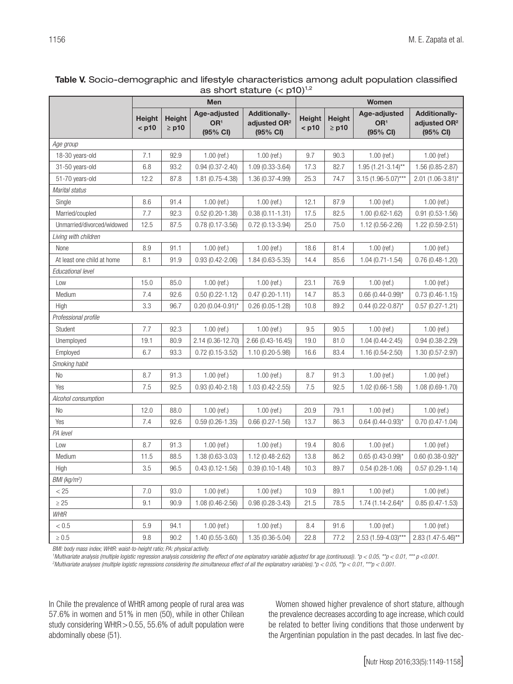### Table V. Socio-demographic and lifestyle characteristics among adult population classified as short stature  $(<sub>0</sub>10)<sup>1,2</sup>$

|                            | $\sim$<br>Men            |                     |                                             |                                                              | Women             |                             |                                             |                                                              |
|----------------------------|--------------------------|---------------------|---------------------------------------------|--------------------------------------------------------------|-------------------|-----------------------------|---------------------------------------------|--------------------------------------------------------------|
|                            | <b>Height</b><br>$<$ p10 | Height<br>$\ge$ p10 | Age-adjusted<br>OR <sup>1</sup><br>(95% CI) | <b>Additionally-</b><br>adjusted OR <sup>2</sup><br>(95% CI) | Height<br>$<$ p10 | <b>Height</b><br>$\geq$ p10 | Age-adjusted<br>OR <sup>1</sup><br>(95% CI) | <b>Additionally-</b><br>adjusted OR <sup>2</sup><br>(95% CI) |
| Age group                  |                          |                     |                                             |                                                              |                   |                             |                                             |                                                              |
| 18-30 years-old            | 7.1                      | 92.9                | $1.00$ (ref.)                               | $1.00$ (ref.)                                                | 9.7               | 90.3                        | $1.00$ (ref.)                               | $1.00$ (ref.)                                                |
| 31-50 years-old            | 6.8                      | 93.2                | $0.94(0.37 - 2.40)$                         | $1.09(0.33-3.64)$                                            | 17.3              | 82.7                        | $1.95(1.21-3.14)$ **                        | 1.56 (0.85-2.87)                                             |
| 51-70 years-old            | 12.2                     | 87.8                | 1.81 (0.75-4.38)                            | 1.36 (0.37-4.99)                                             | 25.3              | 74.7                        | $3.15(1.96-5.07***$                         | $2.01(1.06-3.81)^{*}$                                        |
| Marital status             |                          |                     |                                             |                                                              |                   |                             |                                             |                                                              |
| Single                     | 8.6                      | 91.4                | $1.00$ (ref.)                               | $1.00$ (ref.)                                                | 12.1              | 87.9                        | $1.00$ (ref.)                               | $1.00$ (ref.)                                                |
| Married/coupled            | 7.7                      | 92.3                | $0.52(0.20-1.38)$                           | $0.38(0.11 - 1.31)$                                          | 17.5              | 82.5                        | 1.00 (0.62-1.62)                            | $0.91(0.53 - 1.56)$                                          |
| Unmarried/divorced/widowed | 12.5                     | 87.5                | $0.78(0.17 - 3.56)$                         | $0.72(0.13-3.94)$                                            | 25.0              | 75.0                        | 1.12 (0.56-2.26)                            | 1.22 (0.59-2.51)                                             |
| Living with children       |                          |                     |                                             |                                                              |                   |                             |                                             |                                                              |
| None                       | 8.9                      | 91.1                | $1.00$ (ref.)                               | $1.00$ (ref.)                                                | 18.6              | 81.4                        | $1.00$ (ref.)                               | $1.00$ (ref.)                                                |
| At least one child at home | 8.1                      | 91.9                | $0.93(0.42 - 2.06)$                         | 1.84 (0.63-5.35)                                             | 14.4              | 85.6                        | $1.04(0.71 - 1.54)$                         | $0.76(0.48-1.20)$                                            |
| Educational level          |                          |                     |                                             |                                                              |                   |                             |                                             |                                                              |
| Low                        | 15.0                     | 85.0                | $1.00$ (ref.)                               | $1.00$ (ref.)                                                | 23.1              | 76.9                        | $1.00$ (ref.)                               | $1.00$ (ref.)                                                |
| Medium                     | 7.4                      | 92.6                | $0.50(0.22 - 1.12)$                         | $0.47(0.20-1.11)$                                            | 14.7              | 85.3                        | $0.66$ (0.44-0.99)*                         | $0.73(0.46-1.15)$                                            |
| High                       | 3.3                      | 96.7                | $0.20(0.04 - 0.91)^{*}$                     | $0.26(0.05-1.28)$                                            | 10.8              | 89.2                        | $0.44(0.22 - 0.87)^{*}$                     | $0.57(0.27 - 1.21)$                                          |
| Professional profile       |                          |                     |                                             |                                                              |                   |                             |                                             |                                                              |
| Student                    | 7.7                      | 92.3                | $1.00$ (ref.)                               | $1.00$ (ref.)                                                | 9.5               | 90.5                        | $1.00$ (ref.)                               | $1.00$ (ref.)                                                |
| Unemployed                 | 19.1                     | 80.9                | 2.14 (0.36-12.70)                           | 2.66 (0.43-16.45)                                            | 19.0              | 81.0                        | $1.04(0.44 - 2.45)$                         | $0.94(0.38 - 2.29)$                                          |
| Employed                   | 6.7                      | 93.3                | $0.72(0.15-3.52)$                           | 1.10 (0.20-5.98)                                             | 16.6              | 83.4                        | $1.16(0.54 - 2.50)$                         | 1.30 (0.57-2.97)                                             |
| Smoking habit              |                          |                     |                                             |                                                              |                   |                             |                                             |                                                              |
| No                         | 8.7                      | 91.3                | $1.00$ (ref.)                               | $1.00$ (ref.)                                                | 8.7               | 91.3                        | $1.00$ (ref.)                               | $1.00$ (ref.)                                                |
| Yes                        | 7.5                      | 92.5                | $0.93(0.40 - 2.18)$                         | 1.03 (0.42-2.55)                                             | 7.5               | 92.5                        | $1.02(0.66 - 1.58)$                         | 1.08 (0.69-1.70)                                             |
| Alcohol consumption        |                          |                     |                                             |                                                              |                   |                             |                                             |                                                              |
| No                         | 12.0                     | 88.0                | $1.00$ (ref.)                               | $1.00$ (ref.)                                                | 20.9              | 79.1                        | $1.00$ (ref.)                               | $1.00$ (ref.)                                                |
| Yes                        | 7.4                      | 92.6                | $0.59(0.26-1.35)$                           | $0.66(0.27 - 1.56)$                                          | 13.7              | 86.3                        | $0.64$ (0.44-0.93)*                         | $0.70(0.47 - 1.04)$                                          |
| PA level                   |                          |                     |                                             |                                                              |                   |                             |                                             |                                                              |
| Low                        | 8.7                      | 91.3                | $1.00$ (ref.)                               | $1.00$ (ref.)                                                | 19.4              | 80.6                        | $1.00$ (ref.)                               | $1.00$ (ref.)                                                |
| Medium                     | 11.5                     | 88.5                | 1.38 (0.63-3.03)                            | 1.12 (0.48-2.62)                                             | 13.8              | 86.2                        | $0.65(0.43 - 0.99)^{*}$                     | $0.60$ (0.38-0.92)*                                          |
| High                       | 3.5                      | 96.5                | $0.43(0.12 - 1.56)$                         | $0.39(0.10-1.48)$                                            | 10.3              | 89.7                        | $0.54(0.28-1.06)$                           | $0.57(0.29 - 1.14)$                                          |
| BMI (kg/m <sup>2</sup> )   |                          |                     |                                             |                                                              |                   |                             |                                             |                                                              |
| < 25                       | $7.0\,$                  | 93.0                | $1.00$ (ref.)                               | $1.00$ (ref.)                                                | 10.9              | 89.1                        | $1.00$ (ref.)                               | $1.00$ (ref.)                                                |
| $\geq 25$                  | 9.1                      | 90.9                | 1.08 (0.46-2.56)                            | $0.98(0.28-3.43)$                                            | 21.5              | 78.5                        | $1.74(1.14 - 2.64)^{*}$                     | $0.85(0.47 - 1.53)$                                          |
| <b>WHtR</b>                |                          |                     |                                             |                                                              |                   |                             |                                             |                                                              |
| $< 0.5$                    | 5.9                      | 94.1                | $1.00$ (ref.)                               | $1.00$ (ref.)                                                | 8.4               | 91.6                        | $1.00$ (ref.)                               | $1.00$ (ref.)                                                |
| $\geq 0.5$                 | 9.8                      | 90.2                | $1.40(0.55-3.60)$                           | 1.35 (0.36-5.04)                                             | 22.8              | 77.2                        | $2.53(1.59-4.03)***$                        | $2.83(1.47 - 5.46)$ **                                       |

*BMI: body mass index; WHtR: waist-to-height ratio; PA: physical activity.*

*<sup>1</sup>Multivariate analysis (multiple logistic regression analysis considering the effect of one explanatory variable adjusted for age (continuous)). \*p < 0.05, \*\*p < 0.01, \*\*\* p <0.001.* 

*2 Multivariate analyses (multiple logistic regressions considering the simultaneous effect of all the explanatory variables).\*p < 0.05, \*\*p < 0.01, \*\*\*p < 0.001.*

In Chile the prevalence of WHtR among people of rural area was 57.6% in women and 51% in men (50), while in other Chilean study considering WHtR>0.55, 55.6% of adult population were abdominally obese (51).

Women showed higher prevalence of short stature, although the prevalence decreases according to age increase, which could be related to better living conditions that those underwent by the Argentinian population in the past decades. In last five dec-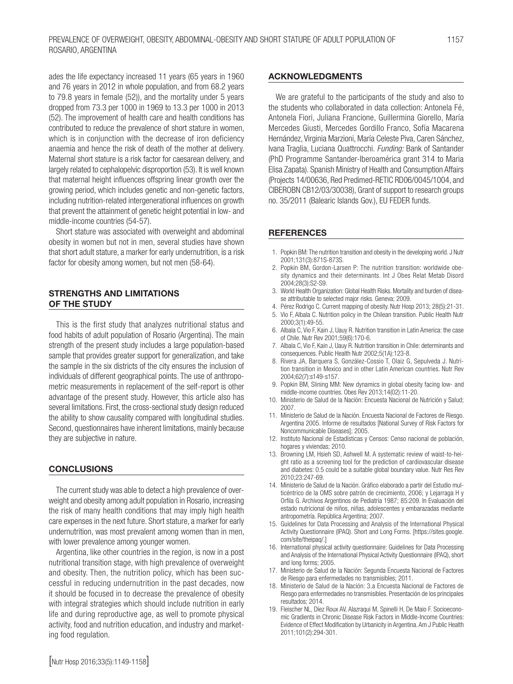ades the life expectancy increased 11 years (65 years in 1960 and 76 years in 2012 in whole population, and from 68.2 years to 79.8 years in female (52)), and the mortality under 5 years dropped from 73.3 per 1000 in 1969 to 13.3 per 1000 in 2013 (52). The improvement of health care and health conditions has contributed to reduce the prevalence of short stature in women, which is in conjunction with the decrease of iron deficiency anaemia and hence the risk of death of the mother at delivery. Maternal short stature is a risk factor for caesarean delivery, and largely related to cephalopelvic disproportion (53). It is well known that maternal height influences offspring linear growth over the growing period, which includes genetic and non-genetic factors, including nutrition-related intergenerational influences on growth that prevent the attainment of genetic height potential in low- and middle-income countries (54-57).

Short stature was associated with overweight and abdominal obesity in women but not in men, several studies have shown that short adult stature, a marker for early undernutrition, is a risk factor for obesity among women, but not men (58-64).

#### STRENGTHS AND LIMITATIONS OF THE STUDY

This is the first study that analyzes nutritional status and food habits of adult population of Rosario (Argentina). The main strength of the present study includes a large population-based sample that provides greater support for generalization, and take the sample in the six districts of the city ensures the inclusion of individuals of different geographical points. The use of anthropometric measurements in replacement of the self-report is other advantage of the present study. However, this article also has several limitations. First, the cross-sectional study design reduced the ability to show causality compared with longitudinal studies. Second, questionnaires have inherent limitations, mainly because they are subjective in nature.

#### **CONCLUSIONS**

The current study was able to detect a high prevalence of overweight and obesity among adult population in Rosario, increasing the risk of many health conditions that may imply high health care expenses in the next future. Short stature, a marker for early undernutrition, was most prevalent among women than in men, with lower prevalence among younger women.

Argentina, like other countries in the region, is now in a post nutritional transition stage, with high prevalence of overweight and obesity. Then, the nutrition policy, which has been successful in reducing undernutrition in the past decades, now it should be focused in to decrease the prevalence of obesity with integral strategies which should include nutrition in early life and during reproductive age, as well to promote physical activity, food and nutrition education, and industry and marketing food regulation.

#### ACKNOWLEDGMENTS

We are grateful to the participants of the study and also to the students who collaborated in data collection: Antonela Fé, Antonela Fiori, Juliana Francione, Guillermina Giorello, María Mercedes Giusti, Mercedes Gordillo Franco, Sofía Macarena Hernández, Virginia Marzioni, María Celeste Piva, Caren Sánchez, Ivana Traglia, Luciana Quattrocchi. *Funding:* Bank of Santander (PhD Programme Santander-Iberoamérica grant 314 to Maria Elisa Zapata). Spanish Ministry of Health and Consumption Affairs (Projects 14/00636, Red Predimed-RETIC RD06/0045/1004, and CIBEROBN CB12/03/30038), Grant of support to research groups no. 35/2011 (Balearic Islands Gov.), EU FEDER funds.

#### **REFERENCES**

- 1. Popkin BM: The nutrition transition and obesity in the developing world. J Nutr 2001;131(3):871S-873S.
- 2. Popkin BM, Gordon-Larsen P: The nutrition transition: worldwide obesity dynamics and their determinants. Int J Obes Relat Metab Disord 2004;28(3):S2-S9.
- 3. World Health Organization: Global Health Risks. Mortality and burden of disease attributable to selected major risks. Geneva; 2009.
- 4. Pérez Rodrigo C. Current mapping of obesity. Nutr Hosp 2013; 28(5):21-31.
- 5. Vio F, Albala C. Nutrition policy in the Chilean transition. Public Health Nutr 2000;3(1):49-55.
- 6. Albala C, Vio F, Kain J, Uauy R. Nutrition transition in Latin America: the case of Chile. Nutr Rev 2001;59(6):170-6.
- 7. Albala C, Vio F, Kain J, Uauy R. Nutrition transition in Chile: determinants and consequences. Public Health Nutr 2002;5(1A):123-8.
- 8. Rivera JA, Barquera S, González-Cossio T, Olaiz G, Sepulveda J. Nutrition transition in Mexico and in other Latin American countries. Nutr Rev 2004;62(7):s149-s157.
- 9. Popkin BM, Slining MM: New dynamics in global obesity facing low- and middle-income countries. Obes Rev 2013;14(02):11-20.
- 10. Ministerio de Salud de la Nación: Encuesta Nacional de Nutrición y Salud; 2007.
- 11. Ministerio de Salud de la Nación. Encuesta Nacional de Factores de Riesgo. Argentina 2005. Informe de resultados [National Survey of Risk Factors for Noncommunicable Diseases]; 2005.
- 12. Instituto Nacional de Estadísticas y Censos: Censo nacional de población, hogares y viviendas; 2010.
- 13. Browning LM, Hsieh SD, Ashwell M. A systematic review of waist-to-height ratio as a screening tool for the prediction of cardiovascular disease and diabetes: 0.5 could be a suitable global boundary value. Nutr Res Rev 2010;23:247-69.
- 14. Ministerio de Salud de la Nación. Gráfico elaborado a partir del Estudio multicéntrico de la OMS sobre patrón de crecimiento, 2006; y Lejarraga H y Orfila G. Archivos Argentinos de Pediatría 1987; 85:209. In Evaluación del estado nutricional de niños, niñas, adolescentes y embarazadas mediante antropometría. República Argentina; 2007.
- 15. Guidelines for Data Processing and Analysis of the International Physical Activity Questionnaire (IPAQ). Short and Long Forms. [https://sites.google. com/site/theipaq/.]
- 16. International physical activity questionnaire: Guidelines for Data Processing and Analysis of the International Physical Activity Questionnaire (IPAQ), short and long forms; 2005.
- 17. Ministerio de Salud de la Nación: Segunda Encuesta Nacional de Factores de Riesgo para enfermedades no transmisibles; 2011.
- 18. Ministerio de Salud de la Nación: 3.a Encuesta Nacional de Factores de Riesgo para enfermedades no transmisibles. Presentación de los principales resultados; 2014.
- 19. Fleischer NL, Díez Roux AV, Alazraqui M, Spinelli H, De Maio F. Socioeconomic Gradients in Chronic Disease Risk Factors in Middle-Income Countries: Evidence of Effect Modification by Urbanicity in Argentina. Am J Public Health 2011;101(2):294-301.